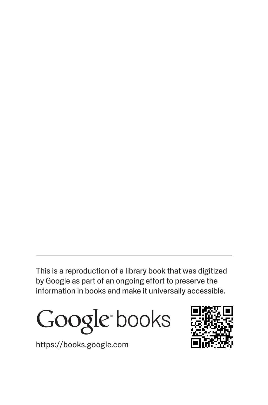This is a reproduction of a library book that was digitized by Google as part of an ongoing effort to preserve the information in books and make it universally accessible.





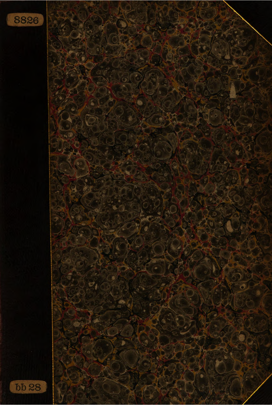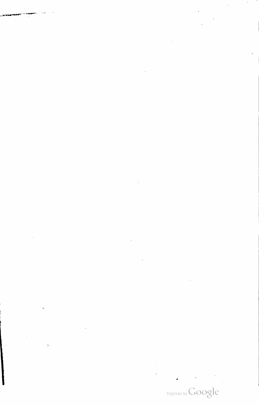

 $\begin{aligned} \text{Dispplied by Google} \end{aligned}$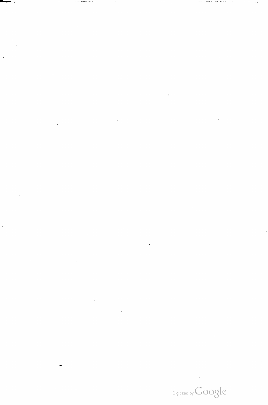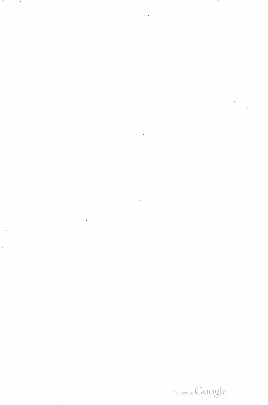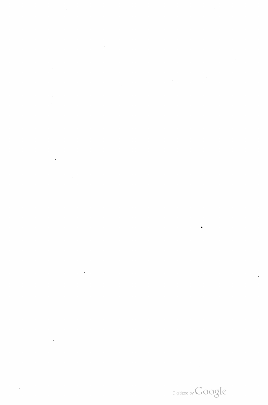

Digitized by  $Google$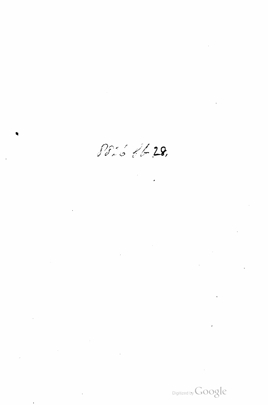PS26 86 28,

 $\label{eq:2.1} \mathcal{L}(\mathcal{L}^{\mathcal{L}}_{\mathcal{L}}(\mathcal{L}^{\mathcal{L}}_{\mathcal{L}})) = \mathcal{L}(\mathcal{L}^{\mathcal{L}}_{\mathcal{L}}(\mathcal{L}^{\mathcal{L}}_{\mathcal{L}})) = \mathcal{L}(\mathcal{L}^{\mathcal{L}}_{\mathcal{L}}(\mathcal{L}^{\mathcal{L}}_{\mathcal{L}}))$ 

 $\mathcal{L}^{\text{max}}_{\text{max}}$ 

 $\label{eq:2.1} \frac{1}{2} \sum_{i=1}^n \frac{1}{2} \sum_{j=1}^n \frac{1}{2} \sum_{j=1}^n \frac{1}{2} \sum_{j=1}^n \frac{1}{2} \sum_{j=1}^n \frac{1}{2} \sum_{j=1}^n \frac{1}{2} \sum_{j=1}^n \frac{1}{2} \sum_{j=1}^n \frac{1}{2} \sum_{j=1}^n \frac{1}{2} \sum_{j=1}^n \frac{1}{2} \sum_{j=1}^n \frac{1}{2} \sum_{j=1}^n \frac{1}{2} \sum_{j=1}^n \frac{$ 

 $\label{eq:2.1} \begin{split} \mathcal{L}_{\text{max}}(\mathcal{L}_{\text{max}}(\mathbf{X}, \mathbf{X})) = \mathcal{L}_{\text{max}}(\mathbf{X}, \mathbf{X}) = \mathcal{L}_{\text{max}}(\mathbf{X}, \mathbf{X}) \mathcal{L}_{\text{max}}(\mathbf{X}, \mathbf{X}) \mathcal{L}_{\text{max}}(\mathbf{X}, \mathbf{X}) \mathcal{L}_{\text{max}}(\mathbf{X}, \mathbf{X}) \mathcal{L}_{\text{max}}(\mathbf{X}, \mathbf{X}) \mathcal{L}_{\text{max}}(\mathbf{X}, \mathbf{X}) \mathcal{L}_{\text{$ 

 $\label{eq:2.1} \frac{1}{\sqrt{2}}\frac{d\mathbf{r}}{d\mathbf{r}} = \frac{1}{\sqrt{2}}\frac{d\mathbf{r}}{d\mathbf{r}} = \frac{1}{\sqrt{2}}\frac{d\mathbf{r}}{d\mathbf{r}} = \frac{1}{2}\frac{d\mathbf{r}}{d\mathbf{r}} = \frac{1}{2}\frac{d\mathbf{r}}{d\mathbf{r}} = \frac{1}{2}\frac{d\mathbf{r}}{d\mathbf{r}} = \frac{1}{2}\frac{d\mathbf{r}}{d\mathbf{r}} = \frac{1}{2}\frac{d\mathbf{r}}{d\mathbf{r}}$ 

 $\mathcal{L}_{\text{max}}$  and  $\mathcal{L}_{\text{max}}$  . The  $\mathcal{L}_{\text{max}}$ 

 $\label{eq:2.1} \frac{1}{\sqrt{2}}\int_{\mathbb{R}^3}\frac{1}{\sqrt{2}}\left(\frac{1}{\sqrt{2}}\right)^2\frac{1}{\sqrt{2}}\left(\frac{1}{\sqrt{2}}\right)^2\frac{1}{\sqrt{2}}\left(\frac{1}{\sqrt{2}}\right)^2.$ 



 $\mathcal{L}(\mathcal{L}(\mathcal{L}(\mathcal{L}(\mathcal{L}(\mathcal{L}(\mathcal{L}(\mathcal{L}(\mathcal{L}(\mathcal{L}(\mathcal{L}(\mathcal{L}(\mathcal{L}(\mathcal{L}(\mathcal{L}(\mathcal{L}(\mathcal{L}(\mathcal{L}(\mathcal{L}(\mathcal{L}(\mathcal{L}(\mathcal{L}(\mathcal{L}(\mathcal{L}(\mathcal{L}(\mathcal{L}(\mathcal{L}(\mathcal{L}(\mathcal{L}(\mathcal{L}(\mathcal{L}(\mathcal{L}(\mathcal{L}(\mathcal{L}(\mathcal{L}(\mathcal{L}(\mathcal{$ 

 $\mathcal{L}(\mathcal{L}(\mathcal{L}))$  . The set of  $\mathcal{L}(\mathcal{L})$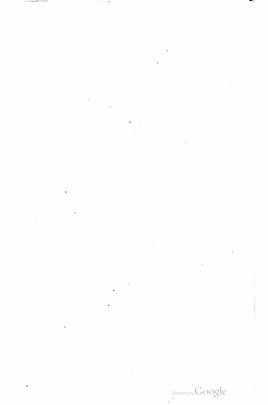Digitized by Google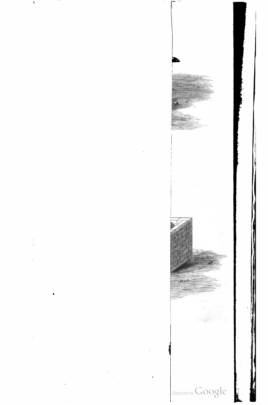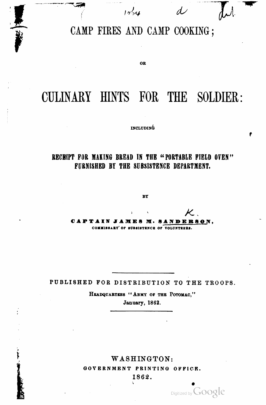CAMP FIRES AND CAMP COOKING;

 $15.4$ 

# CULINARY HINTS FOR THE SOLDIER:

**OR** 

INCLUDING

# RECHIPT FOR MAKING BREAD IN THE "PORTABLE FIELD OVEN" FURNISHED BY THE SUBSISTENCE DEPARTMENT.

 $B\overline{Y}$ 

**CAPTAIN JAMES** M. SANDERSON. COMMISSARY OF SUBSISTENCE OF VOLUNTEERS.

PUBLISHED FOR DISTRIBUTION TO THE TROOPS.

HEADQUARTERS "ARMY OF THE POTOMAC," January, 1862.

# WASHINGTON: GOVERNMENT PRINTING OFFICE. 1862.

Digitized by Google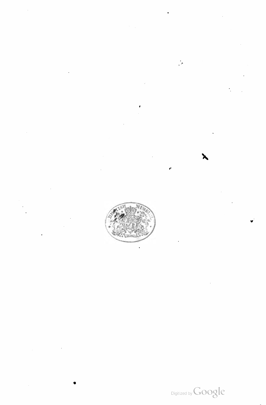

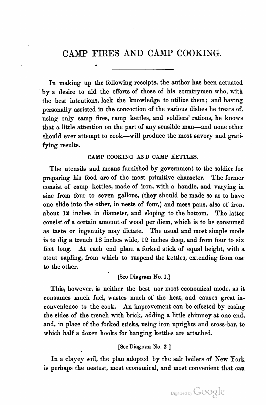# CAMP FIRES AND CAMP COOKING.

In making up the following receipts, the author has been actuated <sup>7</sup> by a desire to aid the efforts of those of his countrymen who, with the best intentions, lack the knowledge to utilize them; and having personally assisted in the concoction of the various dishes he treats of, 'using only camp fires, camp kettles, and soldiers' rations, he knows that a little attention on the part of any sensible man—and none other should ever attempt to cook—will produce the most savory and grati fying results.

#### CAMP COOKING AND CAMP KETTLES.

The utensils and means furnished by government to the soldier for preparing his food are of the most primitive character. The former consist of camp kettles, made of iron, with a handle, and varying in size from four to seven gallons, (they should be made so as to have one slide into the other, in nests of four,) and mess pans, also of iron, about 12 inches in diameter, and sloping to the bottom. The latter consist of a certain amount of wood per diem, which is to be consumed as taste or ingenuity may dictate. The usual and most simple mode is to dig a trench 18 inches wide, 12 inches deep, and from four to six feet long. At each end plant a forked stick of equal height, with a stout sapling, from which to suspend the kettles, extending from one to the other.

# [See Diagram No. 1.}

This, however, is neither the best nor most economical mode, as it consumes much fuel, wastes much of the heat, and causes great inconvenience to the cook. An improvement can be effected by easing the sides of the trench with brick, adding a little chimney at one end, and, in place of the forked sticks, using iron uprights and cross-bar, to which half a dozen hooks for hanging kettles are attached.

# [See Diagram No. 2 ]

In a clayey soil, the plan adopted by the salt boilers of New York is perhaps the neatest, most economical, and most convenient that can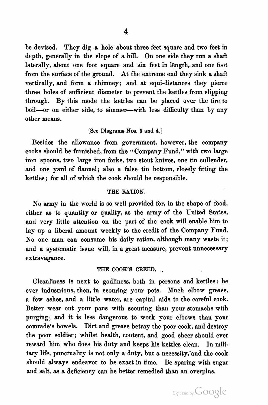be devised. They dig a hole about three feet square and two feet in depth, generally in the slope of <sup>a</sup> hill. On one side they run a shaft laterally, about one foot square and six feet in length, and one foot from the surface of the ground. At the extreme end they sink a shaft vertically, and form a chimney; and at equi-distances they pierce three holes of sufficient diameter to prevent the kettles from slipping through. By this mode the kettles can be placed over the fire to boil—or on either side, to simmer—with less difliculty than by any other means.

# [See Diagrams Nos. 3 and 4.]

Besides the allowance from government, however, the company cooks should be furnished, from the " Company Fund," with two large iron spoons, two large iron forks, two stout knives, one tin cullender, and one yard of flannel; also a false tin bottom, closely fitting the kettles; for all of which the cook should be responsible.

#### THE RATION.

No army in the world is so well provided for, in the shape of food, either as to quantity or quality, as the army of the United States, and very little attention on the part of the cook will enable him to lay up a liberal amount weekly to the credit of the Company Fund. No one man can consume his daily ration, although many waste it; and a systematic issue will, in a great measure, prevent unnecessary extravagance.

# THE COOK'S CREED.

Cleanliness is next to godliness, both in persons and kettles: be ever industrious, then, in scouring your pots. Much elbow grease, a few ashes, and a little water, are capital aids to the careful cook. Better wear out your pans with scouring than your stomachs with purging; and it is less dangerous to work your elbows than your comrade's bowels. Dirt and grease betray the poor cook. and destroy the poor soldier; whilst health, content, and good cheer should ever reward him who does his duty and keeps his kettles clean. In mili tary life, punctuality is not only a duty, but a necessity, and the cook should always endeavor to be exact in time. Be sparing with sugar and salt, as a deficiency can be better remedied than an overplus.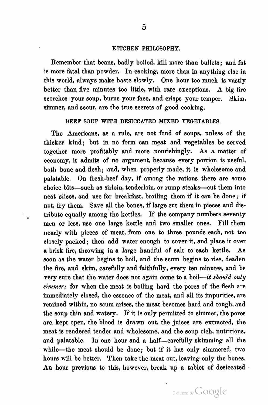# KITCHEN PHILOSOPHY.

Remember that beans, badly boiled, kill more than bullets; and fat is more fatal than powder. In cooking, more than in anything else in this world, always make haste slowly. One hour too much is vastly better than five minutes too little, with rare exceptions. A big fire scorches your soup, burns your face, and crisps your temper. Skim, simmer, and scour, are the true secrets of good cooking.

BEEF SOUP WITH DESICCATED MIXED VEGETABLES.

The Americans, as a rule, are not fond of soups, unless of the thicker kind; but in no form can meat and vegetables be served together more profitably and more nourishingly. As a matter of economy, it admits of no argument, because every portion is useful, both bone and flesh; and, when properly made, it is wholesome and palatable. On fresh-beef day, if among the rations there are some choice bits—such as sirloin, tenderloin, or rump steaks—cut them into neat slices, and use for breakfast, broiling them if it can be done; if not, fry them. Save all the bones, if large cut them in pieces and dis tribute equally among the kettles. If the company numbers seventy men or less, use one large kettle and two smaller ones. Fill them nearly with pieces of meat, from one to three pounds each, not too closely packed; then add water enough to cover it, and place it over a brisk fire, throwing in a large handful of salt to each kettle. As soon as the water begins to boil, and the scum begins to rise, deaden the fire, and skim, carefully and faithfully, every ten minutes, and he very sure that the water does not again come to a boil--it should only simmer; for when the meat is boiling hard the pores of the flesh are immediately closed, the essence of the meat, and all its impurities, are retained within, no scum arises, the meat becomes hard and tough, and the soup thin and watery. If it is only permitted to simmer, the pores are kept open, the blood is drawn out, the juices are extracted, the meat is rendered tender and wholesome, and the soup rich, nutritious, and palatable. In one hour and a half—carefully skimming all the while—the meat should be done; but if it has only simmered, two hours will be better. Then take the meat out, leaving only the bones. An hour previous to this, however, break up a tablet of desiccated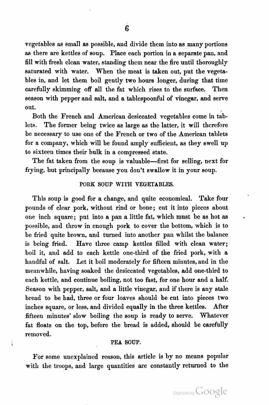vegetables as small as possible, and divide them into as many portions as there are kettles of soup. Place each portion in a separate pan, and fill with fresh clean water, standing them near the fire until thoroughly saturated with water. When the meat is taken out, put the vegeta bles in, and let them boil gently two hours longer, during that time carefully skimming off all the fat which rises to the surface. Then season with pepper and salt, and a tablespoonful of vinegar, and serve out. The contract of the contract of the contract of the contract of the contract of the contract of the contract of the contract of the contract of the contract of the contract of the contract of the contract of the contr

Both the French and American desiccated vegetables come in tab lets. The former being twice as large as the latter, it will therefore be necessary to use one of the French or two of the American tablets for a company, which will be found amply sufficient, as they swell up to sixteen times their bulk in a compressed state.

The fat taken from the soup is valuable—first for selling, next for frying, but principally because you don't swallow it in your soup.

# PORK SOUP WITH VEGETABLES.

This soup is good for a change, and quite economical. Take four pounds of clear pork, without rind or bone; cut it into pieces about one inch square; put into a pan a little fat, which must be as hot as possible, and throw in enough pork to cover the bottom, which is to be fried quite brown, and turned into another pan whilst the balance is being fried. Have three camp kettles filled with clean water; boil it, and add to each kettle one-third of the fried pork, with a handful of salt. Let it boil moderately for fifteen minutes, and in the meanwhile, having soaked the desiccated vegetables, add one-third to each kettle, and continue boiling, not too fast, for one hour and a half. Season with pepper, salt, and a little vinegar, and if there is any stale bread to be had, three or four loaves should be cut into pieces two inches square, or less, and divided equally in the three kettles. After fifteen minutes' slow boiling the soup is ready to serve. Whatever fat floats on the top, before the bread is added, should be carefully removed.

#### PEA SOUP.

í.

For some unexplained reason, this article is by no means popular with the troops, and large quantities are constantly returned to the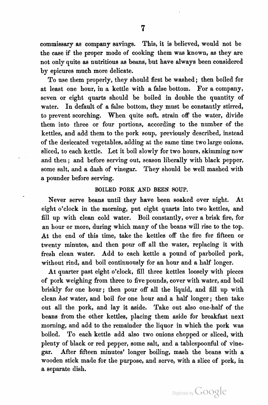commissary as company savings. This, it is believed, would not be the case if the proper mode of cooking them was known, as they are not only quite as nutritious as beans, but have always been considered by epicures much more delicate.

To use them properly, they should first be washed; then boiled for at least one hour, in a kettle with a false bottom. For a company, seven or eight quarts should be boiled in double the quantity of water. In default of a false bottom, they must be constantly stirred, to prevent scorching. When quite soft. strain off the water, divide them into three or four portions, according to the number of the kettles, and add them to the pork soup, previously described, instead of the desiccated vegetables, adding at the same time two large onions, sliced, to each kettle. Let it boil slowly for two hours, skimming now and then; and before serving out, season liberally with black pepper, some salt, and a dash of vinegar. They should be well mashed with a pounder before serving.

# BOILED PORK AND BEEN SOUP.

Never serve beans until they have been soaked over night. At eight o'clock in the morning, put eight quarts into two kettles, and fill up with clean cold water. Boil constantly, over a brisk fire, for an hour or more, during which many of the beans will rise to the top. At the end of this time, take the kettles off the fire for fifteen or twenty minutes, and then pour off all the water, replacing it with fresh clean water. Add to each kettle a pound of parboiled pork, without rind, and boil continuously for an hour and a half longer.

At quarter past eight o'clock, fill three kettles loosely with pieces of pork weighing from three to five pounds, cover with water, and boil briskly for one hour; then pour off all the liquid, and fill up with clean hot water, and boil for one hour and a half longer; then take out all the pork, and lay it aside. Take out also one-half of the beans from the other kettles, placing them aside for breakfast next morning, and add to the remainder the liquor in which the pork was boiled. To each kettle add also two onions chopped or sliced, with plenty of black or red pepper, some salt, and a tablespoonful of vine gar. After fifteen minutes' longer boiling, mash the beans with a wooden stick made for the purpose, and serve, with a slice of pork, in a separate dish.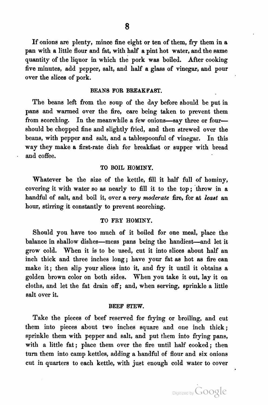If onions are plenty, mince fine eight or ten of them, fry them in a pan with a little flour and fat, with half a pint hot water, and the same quantity of the liquor in which the pork was boiled. After cooking five minutes, add pepper, salt, and half a glass of vinegar, and pour over the slices of pork.

#### BEANS FOR BREAKFAST.

The beans left from the soup of the day before should be put in pans and warmed over the fire, care being taken to prevent them from scorching. In the meanwhile a few onions—say three or four should be chopped fine and slightly fried, and then strewed over the beans, with pepper and salt, and a tablespoonful of vinegar. In this way they make a first-rate dish for breakfast or supper with bread and coffee.

### TO BOIL HOMINY.

Whatever be the size of the kettle, fill it half full of hominy, covering it with water so as nearly to fill it to the top; throw in a handful of salt, and boil it, over a very moderate fire, for at least an hour, stirring it constantly to prevent scorching.

#### TO FRY HOMINY.

Should you have too much of it boiled for one meal, place the balance in shallow dishes—mess pans being the handiest—and let it grow cold. When it is to be used, cut it into slices about half an inch thick and three inches long; have your fat as hot as fire can make it; then slip your slices into it, and fry it until it obtains a golden brown color on both sides. When you take it out, lay it on cloths, and let the fat drain off; and, when serving, sprinkle a little salt over it.

#### BEEF STEW.

Take the pieces of beef reserved for frying or broiling, and cut them into pieces about two inches square and one inch thick; sprinkle them with pepper and salt, and put them into frying pans, with a little fat; place them over the fire until half cooked; then turn them into camp kettles, adding a handful of flour and six onions cut in quarters to each kettle, with just enough cold water to cover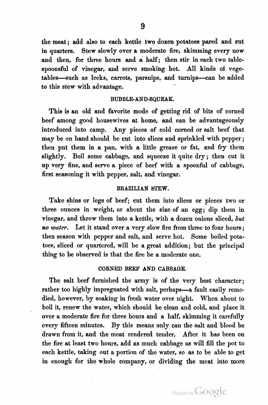the meat; add also to each kettle two dozen potatoes pared and cut in quarters. Stew slowly over a moderate fire, skimming every now and then, for three hours and a half; then stir in each two table spoonsful of vinegar, and serve smoking hot. All kinds of vege tables—such as leeks, carrots, parsnips, and turnips—can be added to this stew with advantage.

#### BUBBLE—AND-SQUEAK.

This is an old and favorite mode of getting rid of bits of corned beef among good housewives at home, and can be advantageously introduced into camp. Any pieces of cold corned or salt beef that may be on hand should be cut into slices and sprinkled with pepper; then put them in a pan, with a little grease or fat, and fry them slightly. Boil some cabbage, and squeeze it quite dry; then cut it up very fine, and serve a piece of beef with a spoonful of cabbage, first seasoning it with pepper, salt, and vinegar.

#### BRAZILIAN STEW.

Take shins or legs of beef; cut them into slices or pieces two or three ounces in weight, or about the size of an egg; dip them in vinegar, and throw them into a kettle, with a dozen onions sliced, but no water. Let it stand over a very slow fire from three to four hours; then season with pepper and salt, and serve hot. Some boiled pota toes, sliced or quartered, will be a great addition; but the principal thing to be observed is that the fire be a moderate one.

# CORNED BEEF AND CABBAGE.

The salt beef furnished the army is of the very best character; rather too highly impregnated with salt, perhaps—a fault easily reme died, however, by soaking in fresh water over night. When about to boil it, renew the water, which should be clean and cold, and place it over a moderate fire for three hours and a half, skimming it carefully every fifteen minutes. By this means only can the salt and blood be drawn from it, and the meat rendered tender. After it has been on the fire at least two hours, add as much cabbage as will fill the pot to each kettle, taking out a portion of the water, so as to be able to get in enough for the whole company, or dividing the meat into more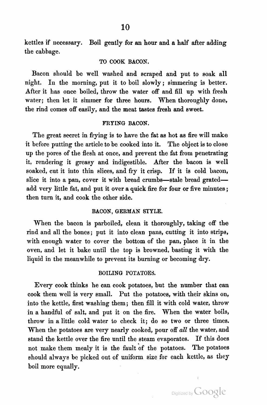# TO COOK BACON.

Bacon should be well washed and scraped and put to soak all night. In the morning, put it to boil slowly; simmering is better. After it has once boiled, throw the water off and fill up with fresh water; then let it simmer for three hours. When thoroughly done, the rind comes off easily, and the meat tastes fresh and sweet.

# FRYING BACON.

The great secret in frying is to have the fat as hot as fire will make it before putting the article to be cooked into it. The object is to close up the pores of the flesh at once, and prevent the fat from penetrating it, rendering it greasy and indigestible. After the bacon is well soaked, cut it into thin slices, and fry it crisp. If it is cold bacon, slice it into a pan, cover it with bread crumbs—stale bread grated add very little fat, and put it over a quick fire for four or five minutes; then turn it, and cook the other side.

#### BACON, GERMAN STYLE.

When the bacon is parboiled, clean it thoroughly, taking off the rind and all the bones; put it into clean pans, cutting it into strips, with enough water to cover the bottom of the pan, place it in the oven, and let it bake until the top is browned, basting it with the liquid in the meanwhile to prevent its burning or becoming dry.

# BOILING POTATOES.

Every cook thinks he can cook potatoes, but the number that can cook them well is very small. Put the potatoes, with their skins on, into the kettle, first washing them; then fill it with cold water, throw in a handful of salt, and put it on the fire. When the water boils, throw in a little cold water to check it; do so two or three times. When the potatoes are very nearly cooked, pour off all the water, and stand the kettle over the fire until the steam evaporates. If this does not make them mealy it is the fault of the potatoes. The potatoes should always be picked out of uniform size for each kettle, as they boil more equally.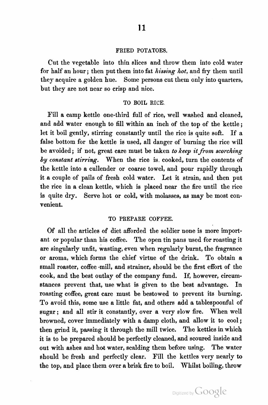#### FRIED POTATOES.

Cut the vegetable into thin slices and throw them into cold water for half an hour; then put them into fat hissing hot, and fry them until they acquire a golden hue. Some persons cut them only into quarters, but they are not near so crisp and nice.

#### TO BOIL RICE.

Fill a camp kettle one-third full of rice, well washed and cleaned, and add water enough to fill within an inch of the top of the kettle; let it boil gently, stirring constantly until the rice is quite soft. If a false bottom for the kettle is used, all danger of burning the rice will be avoided; if not, great care must be taken to keep it from scorching by constant stirring. When the rice is. cooked, turn the contents of the kettle into a eullender or coarse towel, and pour rapidly through it a couple of pails of fresh cold water. Let it strain, and then put the rice in a clean kettle, which is placed near the fire until the rice is quite dry. Serve hot or cold, with molasses, as may be most con venient.

# TO PREPARE COFFEE.

Of all the articles of diet afforded the soldier none is more import ant or popular than his coffee. The open tin pans used for roasting it are singularly unfit, wasting, even when regularly burnt, the fragrance or aroma, which forms the chief virtue of the drink. To obtain a small roaster, coffee -mill, and strainer, should be the first effort of the cook, and the best outlay of the company fund. If, however, circum stances prevent that, use what is given to the best advantage. In roasting coffee, great care must be bestowed to prevent its burning. To avoid this, some use a little fat, and others add a tablespoonful of sugar; and all stir it constantly, over a very slow fire. When well browned, cover immediately with a damp cloth, and allow it to cool; then grind it, passing it through the mill twice. The kettles in which it is to be prepared should be perfectly cleaned, and scoured inside and out with ashes and hot water, scalding them before using. The water should be fresh and perfectly clear. Fill the kettles very nearly to the top, and place them over a brisk fire to boil. Whilst boiling, throw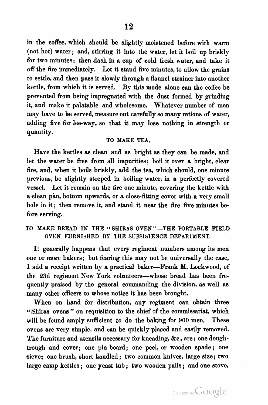in the coffee, which should be slightly moistened before with warm (not hot) water; and, stirring it into the water, let it boil up briskly for two minutes; then dash in a cup of cold fresh water, and take it off the fire immediately. Let it stand five minutes, to allow the grains to settle, and then pass it slowly through a flannel strainer into another kettle, from which it is served. By this mode alone can the coffee be prevented from being impregnated with the dust formed by grinding it, and make it palatable and wholesome. Whatever number of men may have to be served, measure out carefully so many rations of water, adding five for leeway, so that it may lose nothing in strength or quantity.

# TO MAKE TEA.

Have the kettles as clean and as bright as they can be made, and let the water be free from all impurities; boil it over a bright, clear fire, and, when it boils briskly, add the tea, which should, one minute previous, be slightly steeped in boiling water, in a perfectly covered vessel. Let it remain on the fire one minute, covering the kettle with a clean pan, bottom upwards, or a close-fitting cover with a very small hole in it; then remove it, and stand it near the fire five minutes be fore serving.

# TO MAKE BREAD IN THE "SHIRAS OVEN"—THE PORTABLE FIELD OVEN FURNISHED BY THE SUBSISTENCE DEPARTMENT.

It generally happens that every regiment numbers among its men one or more bakers; but fearing this may not be universally the case, I add a receipt written by a practical baker—Frank M. Lockwood, of the 23d regiment New York volunteers—whose bread has been fre quently praised by the general commanding the division, as well as many other officers to whose notice it has been brought.

'Vhen on hand for distribution, any regiment can obtain three "Shiras ovens " on requisition to the chief of the commissariat, which will be found amply sufficient to do the baking for 900 men. These ovens are very simple, and can be quickly placed and easily removed. The furniture and utensils necessary for kneading, &c., are: one doughtrough and cover; one pin board; one peel, or wooden spade; one sieve; one brush, short handled; two common knives, large size; two large camp kettles; one yeast tub; two wooden pails; and one stove,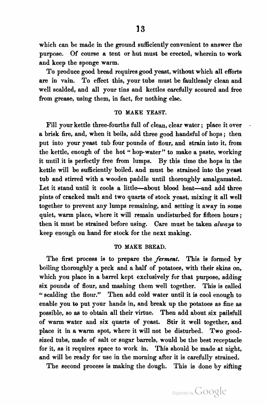which can be made in the ground sufficiently convenient to answer the purpose. Of course a tent or hut must be erected, wherein to work and keep the sponge warm.

To produce good bread requires good yeast, without which all efforts are in vain. To effect this, your tubs must be faultlessly clean and well scalded, and all your tins and kettles carefully scoured and free from grease, using them, in fact, for nothing else.

# TO MAKE YEAST.

Fill your kettle three-fourths full of clean, clear water; place it over a brisk fire, and, when it boils, add three good handsful of hops; then put into your yeast tub four pounds of flour, and strain into it, from the kettle, enough of the hot " hop-water" to make a paste, working it until it is perfectly free from lumps. By this time the hops in the kettle will be sufficiently boiled, and must be strained into the yeast tub and stirred with a wooden paddle until thoroughly amalgamated. Let it stand until it cools a little—about blood heat—and add three pints of cracked malt and two quarts of stock yeast, mixing it all well together to prevent any lumps remaining, and setting it away in some quiet, warm place, where it will remain undisturbed for fifteen hours ; then it must be strained before using. Care must be taken always to keep enough on hand for stock for the next making.

# TO MAKE BREAD.

The first process is to prepare the *ferment*. This is formed by boiling thoroughly a peck and a half of potatoes, with their skins on, which you place in a barrel kept exclusively for that purpose, adding six pounds of flour, and mashing them well together. This is called " scalding the flour." Then add cold water until it is cool enough to enable you to put your hands in, and break up the potatoes as fine as possible, so as to obtain all their virtue. Then add about six pailsfull of warm water and six quarts of yeast. Stir it well together, and place it in <sup>a</sup> warm spot, where it will not be disturbed. Two good sized tubs, made of salt or sugar barrels, would be the best receptacle for it, as it requires space to work in. This should be made at night, and will be ready for use in the morning after it is carefully strained.

The second process is making the dough. This is done by sifting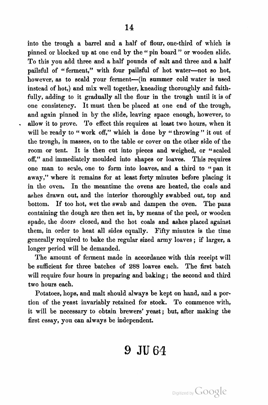into the trough a barrel and a half of flour, one-third of which is pinned or blocked up at one end by the "pin board" or wooden slide. To this you add three and a half pounds of salt and three and a half pailsful of "ferment," with four pailsful of hot water—not so hot, however, as to scald your ferment-(in summer cold water is used instead of hot,) and mix well together, kneading thoroughly and faith fully, adding to it gradually all the flour in the trough until it is of one consistency. It must then be placed at one end of the trough, and again pinned in by the slide, leaving space enough, however, to allow it to prove. To effect this requires at least two hours, when it will be ready to "work off," which is done by "throwing" it out of the trough, in masses, on to the table or cover on the other side of the room or tent. It is then cut into pieces and weighed, or "scaled off," and immediately moulded into shapes or loaves. This requires one man to scale, one to form into loaves, and a third to "pan it away," where it remains for at least forty minutes before placing it in the oven. In the meantime the ovens are heated, the coals and ashes drawn out, and the interior thoroughly swabbed out, top and bottom. If too hot, wet the swab and dampen the oven. The pans containing the dough are then set in, by means of the peel, or wooden spade, the doors closed, and the hot coals and ashes placed against them, in order to heat all sides equally. Fifty minutes is the time generally required to bake the regular sized army loaves ; if larger, 2. longer period will be demanded.

The amount of ferment made in accordance with this receipt will be sufficient for three batches of 288 loaves each. The first batch will require four hours in preparing and baking; the second and third two hours each.

Potatoes, hops, and malt should always be kept on hand, and a por tion of the yeast invariably retained for stock. To commence with, it will be necessary to obtain brewers' yeast; but, after making the first essay, you can always be independent.

# 9 JU 64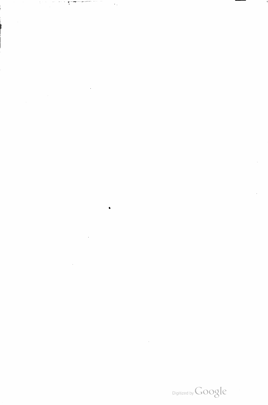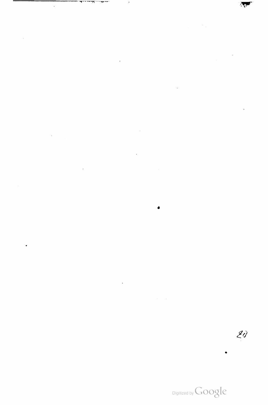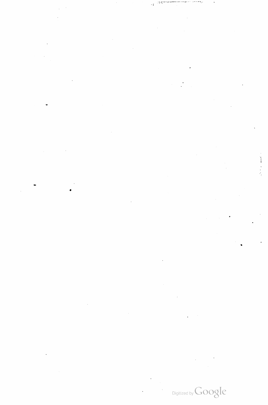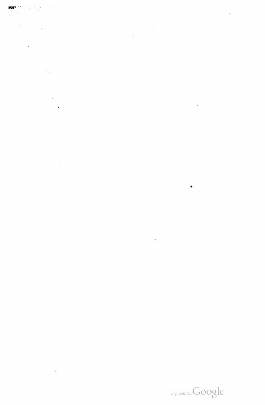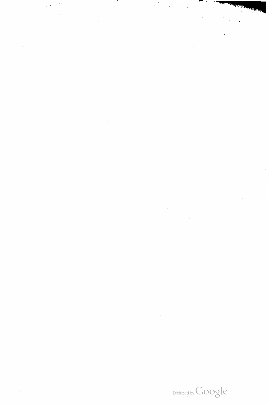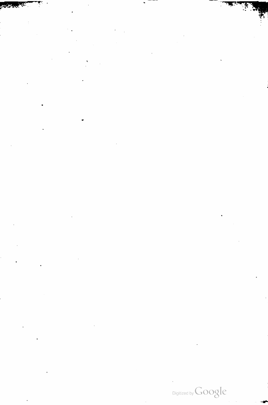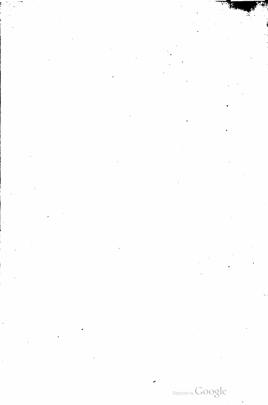